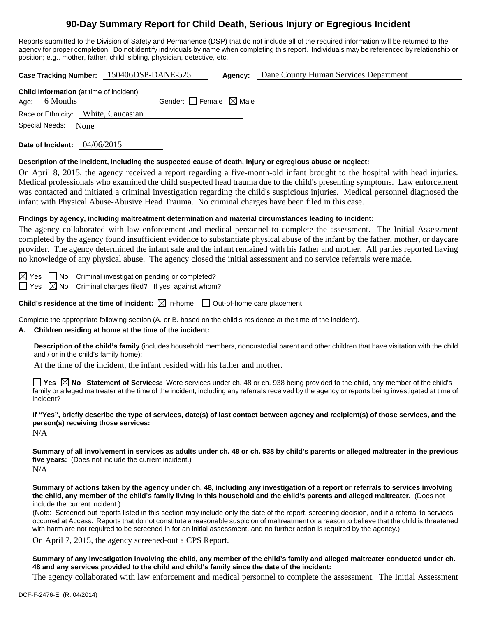# **90-Day Summary Report for Child Death, Serious Injury or Egregious Incident**

Reports submitted to the Division of Safety and Permanence (DSP) that do not include all of the required information will be returned to the agency for proper completion. Do not identify individuals by name when completing this report. Individuals may be referenced by relationship or position; e.g., mother, father, child, sibling, physician, detective, etc.

**Case Tracking Number:** 150406DSP-DANE-525 **Agency:** Dane County Human Services Department

| <b>Child Information</b> (at time of incident) |                                 |  |  |  |
|------------------------------------------------|---------------------------------|--|--|--|
| Age: 6 Months                                  | Gender: Female $\boxtimes$ Male |  |  |  |
| Race or Ethnicity: White, Caucasian            |                                 |  |  |  |
| Special Needs: None                            |                                 |  |  |  |
|                                                |                                 |  |  |  |

**Date of Incident:** 04/06/2015

# **Description of the incident, including the suspected cause of death, injury or egregious abuse or neglect:**

On April 8, 2015, the agency received a report regarding a five-month-old infant brought to the hospital with head injuries. Medical professionals who examined the child suspected head trauma due to the child's presenting symptoms. Law enforcement was contacted and initiated a criminal investigation regarding the child's suspicious injuries. Medical personnel diagnosed the infant with Physical Abuse-Abusive Head Trauma. No criminal charges have been filed in this case.

# **Findings by agency, including maltreatment determination and material circumstances leading to incident:**

The agency collaborated with law enforcement and medical personnel to complete the assessment. The Initial Assessment completed by the agency found insufficient evidence to substantiate physical abuse of the infant by the father, mother, or daycare provider. The agency determined the infant safe and the infant remained with his father and mother. All parties reported having no knowledge of any physical abuse. The agency closed the initial assessment and no service referrals were made.

 $\boxtimes$  Yes  $\Box$  No Criminal investigation pending or completed?  $\Box$  Yes  $\boxtimes$  No Criminal charges filed? If yes, against whom?

**Child's residence at the time of incident:**  $\boxtimes$  In-home  $\Box$  Out-of-home care placement

Complete the appropriate following section (A. or B. based on the child's residence at the time of the incident).

# **A. Children residing at home at the time of the incident:**

**Description of the child's family** (includes household members, noncustodial parent and other children that have visitation with the child and / or in the child's family home):

At the time of the incident, the infant resided with his father and mother.

**Yes No Statement of Services:** Were services under ch. 48 or ch. 938 being provided to the child, any member of the child's family or alleged maltreater at the time of the incident, including any referrals received by the agency or reports being investigated at time of incident?

**If "Yes", briefly describe the type of services, date(s) of last contact between agency and recipient(s) of those services, and the person(s) receiving those services:** 

N/A

**Summary of all involvement in services as adults under ch. 48 or ch. 938 by child's parents or alleged maltreater in the previous five years:** (Does not include the current incident.)

 $N/A$ 

**Summary of actions taken by the agency under ch. 48, including any investigation of a report or referrals to services involving the child, any member of the child's family living in this household and the child's parents and alleged maltreater.** (Does not include the current incident.)

(Note: Screened out reports listed in this section may include only the date of the report, screening decision, and if a referral to services occurred at Access. Reports that do not constitute a reasonable suspicion of maltreatment or a reason to believe that the child is threatened with harm are not required to be screened in for an initial assessment, and no further action is required by the agency.)

On April 7, 2015, the agency screened-out a CPS Report.

**Summary of any investigation involving the child, any member of the child's family and alleged maltreater conducted under ch. 48 and any services provided to the child and child's family since the date of the incident:** 

The agency collaborated with law enforcement and medical personnel to complete the assessment. The Initial Assessment